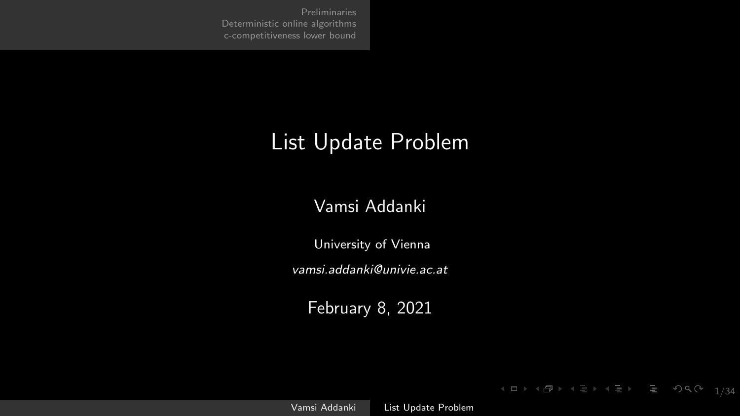### <span id="page-0-0"></span>List Update Problem

#### Vamsi Addanki

University of Vienna

vamsi.addanki@univie.ac.at

February 8, 2021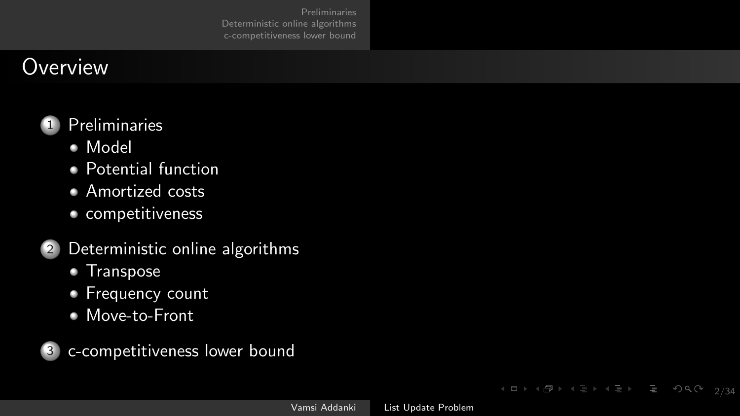## **Overview**



- [Model](#page-2-0)
- [Potential function](#page-9-0)
- **[Amortized costs](#page-10-0)**
- [competitiveness](#page-11-0)
- [Deterministic online algorithms](#page-12-0)
	- [Transpose](#page-13-0)
	- [Frequency count](#page-14-0)
	- [Move-to-Front](#page-15-0)

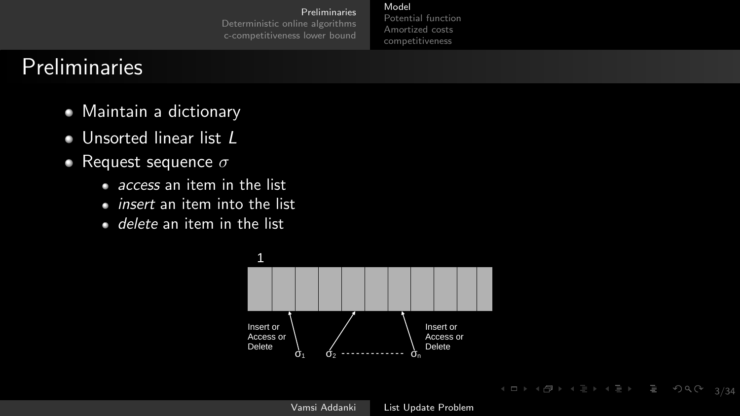[Model](#page-2-0) [Potential function](#page-9-0) [Amortized costs](#page-10-0) [competitiveness](#page-11-0)

# <span id="page-2-0"></span>**Preliminaries**

- Maintain a dictionary
- **Unsorted linear list L**
- Request sequence  $\sigma$ 
	- *access* an item in the list
	- *insert* an item into the list
	- *delete* an item in the list

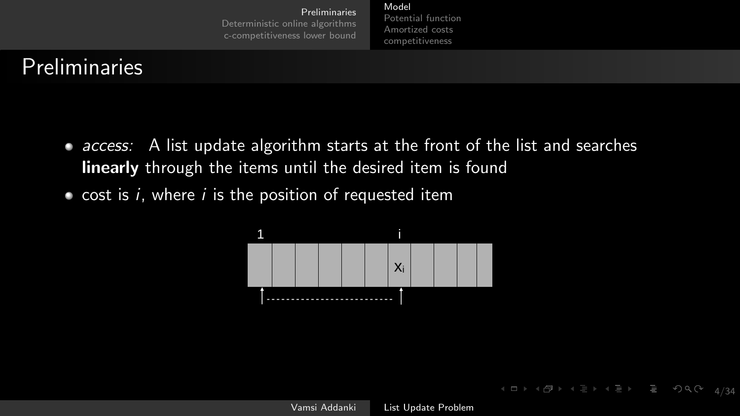[Model](#page-2-0) [Potential function](#page-9-0) [Amortized costs](#page-10-0) [competitiveness](#page-11-0)

# Preliminaries

- access: A list update algorithm starts at the front of the list and searches linearly through the items until the desired item is found
- cost is  $i$ , where  $i$  is the position of requested item



**Kロト K団ト Kミト Kミトニミー りんぐ** 4/34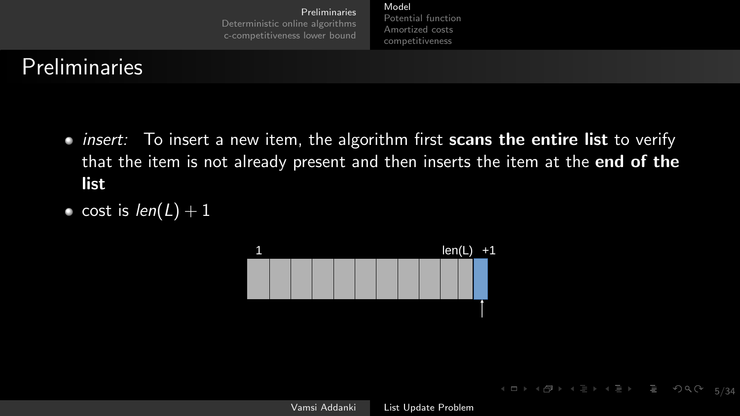[Model](#page-2-0) [Potential function](#page-9-0) [Amortized costs](#page-10-0) [competitiveness](#page-11-0)

# Preliminaries

- $\bullet$  insert: To insert a new item, the algorithm first scans the entire list to verify that the item is not already present and then inserts the item at the end of the list
- cost is  $len(L) + 1$



5/34

**Kロト K団 K モト K E K E D 9 Q (V)**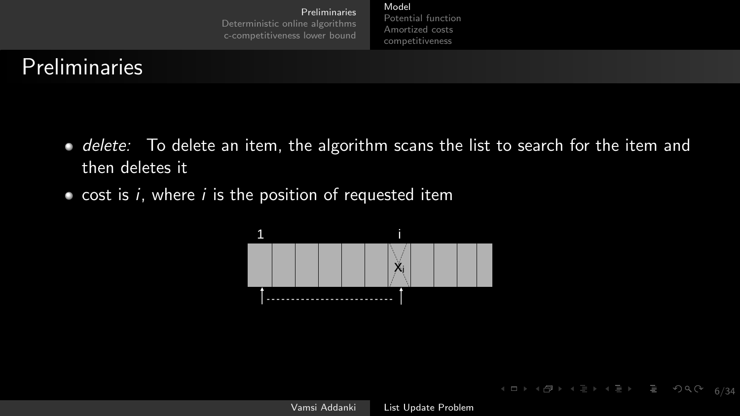[Model](#page-2-0) [Potential function](#page-9-0) [Amortized costs](#page-10-0) [competitiveness](#page-11-0)

# **Preliminaries**

- $\bullet$  delete: To delete an item, the algorithm scans the list to search for the item and then deletes it
- cost is  $i$ , where  $i$  is the position of requested item

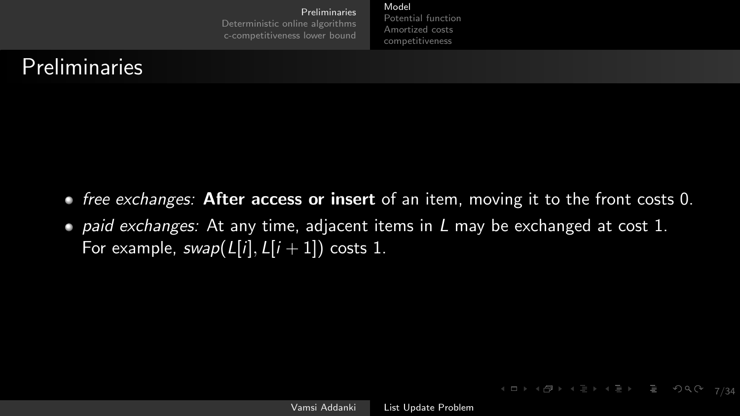[Model](#page-2-0) [Potential function](#page-9-0) [Amortized costs](#page-10-0) [competitiveness](#page-11-0)

# Preliminaries

- $\bullet$  free exchanges: After access or insert of an item, moving it to the front costs 0.
- paid exchanges: At any time, adjacent items in  $L$  may be exchanged at cost 1. For example,  $swap(L[i], L[i+1])$  costs 1.

7/34

**Kロト K団ト Kミト Kミトニミー りんぐ**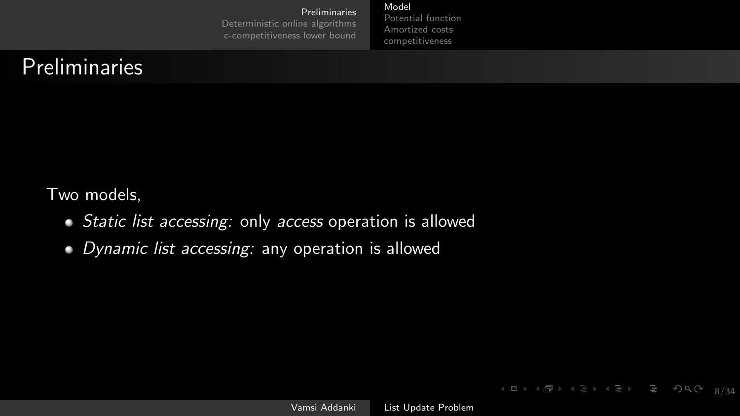[Model](#page-2-0) [Potential function](#page-9-0) [Amortized costs](#page-10-0) [competitiveness](#page-11-0)

# Preliminaries

Two models,

- Static list accessing: only access operation is allowed
- Dynamic list accessing: any operation is allowed

8/34

**Kロト K団ト Kミト Kミトニミー りんぐ**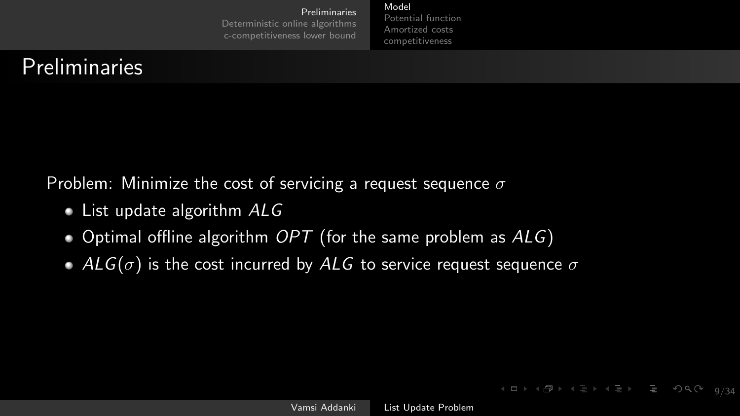[Model](#page-2-0) [Potential function](#page-9-0) [Amortized costs](#page-10-0) [competitiveness](#page-11-0)

# Preliminaries

Problem: Minimize the cost of servicing a request sequence  $\sigma$ 

- List update algorithm ALG
- $\bullet$  Optimal offline algorithm OPT (for the same problem as  $ALG$ )
- $ALG(\sigma)$  is the cost incurred by ALG to service request sequence  $\sigma$

 $Q/34$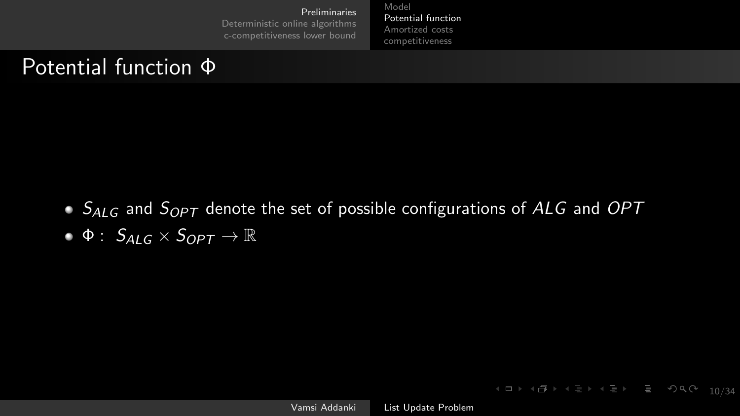[Model](#page-2-0) [Potential function](#page-9-0) [Amortized costs](#page-10-0) [competitiveness](#page-11-0)

#### <span id="page-9-0"></span>Potential function Φ

- $\bullet$   $S_{ALG}$  and  $S_{OPT}$  denote the set of possible configurations of ALG and OPT
- $\bullet$   $\Phi$ :  $S_{AIG} \times S_{OPT} \rightarrow \mathbb{R}$

Vamsi Addanki [List Update Problem](#page-0-0)

10/34

**◆ロト ◆母ト ◆ミト ◆ミト → ミー ◆9 Q (>)**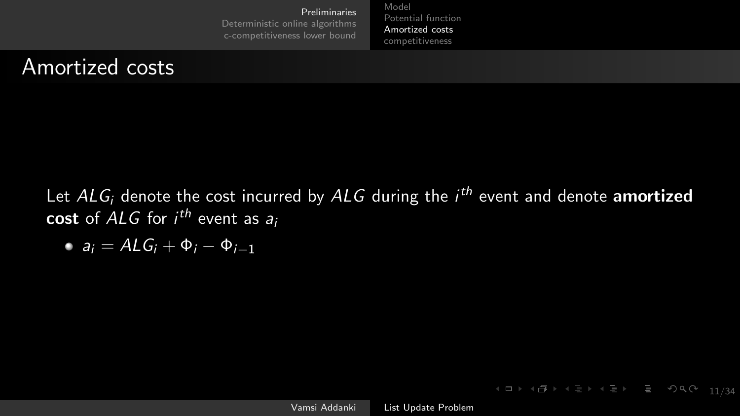[Model](#page-2-0) [Potential function](#page-9-0) [Amortized costs](#page-10-0) [competitiveness](#page-11-0)

#### <span id="page-10-0"></span>Amortized costs

Let  $ALG_i$  denote the cost incurred by  $ALG$  during the  $i^{th}$  event and denote  $\bm{a}$ mortized  $\mathbf{cost}$  of  $ALG$  for  $i^{th}$  event as  $a_i$ 

• 
$$
a_i = ALG_i + \Phi_i - \Phi_{i-1}
$$

 $11/34$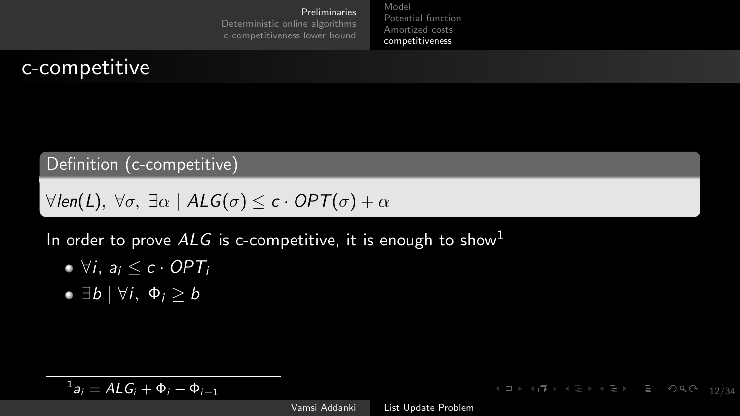[Model](#page-2-0) [Potential function](#page-9-0) [Amortized costs](#page-10-0) [competitiveness](#page-11-0)

## <span id="page-11-0"></span>c-competitive

#### Definition (c-competitive)

<span id="page-11-1"></span> $\forall$ len(L),  $\forall \sigma$ ,  $\exists \alpha \mid ALG(\sigma) \leq c \cdot OPT(\sigma) + \alpha$ 

In order to prove  $ALG$  is c-competitive, it is enough to show<sup>1</sup>

$$
\bullet \ \forall i, \ a_i \leq c \cdot OPT_i
$$

 $\bullet$  ∃b | ∀i, Φ<sub>i</sub> ≥ b

 $1_{a_i} = ALG_i + \Phi_i - \Phi_{i-1}$ 

12/34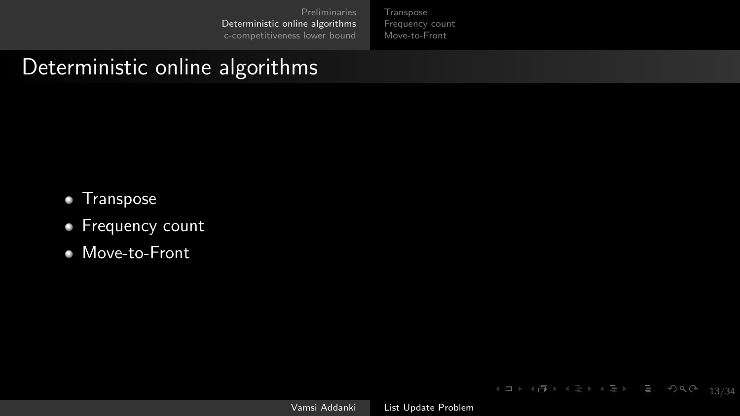[Transpose](#page-13-0) [Frequency count](#page-14-0) [Move-to-Front](#page-15-0)

# <span id="page-12-0"></span>Deterministic online algorithms

- **Transpose**
- Frequency count  $\bullet$
- Move-to-Front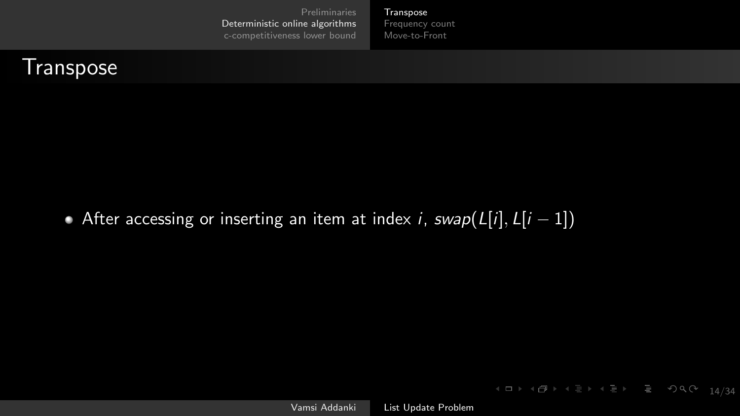[Transpose](#page-13-0) [Frequency count](#page-14-0) [Move-to-Front](#page-15-0)

#### <span id="page-13-0"></span>**Transpose**

After accessing or inserting an item at index i, swap( $L[i], \overline{L[i-1]}$ )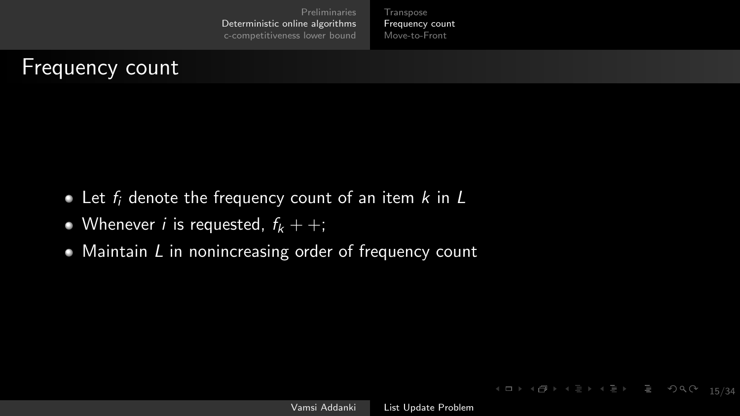[Transpose](#page-13-0) [Frequency count](#page-14-0) [Move-to-Front](#page-15-0)

## <span id="page-14-0"></span>Frequency count

- $\bullet$  Let  $f_i$  denote the frequency count of an item k in L
- Whenever *i* is requested,  $f_k + +$ ;
- $\bullet$  Maintain  $L$  in nonincreasing order of frequency count

 $1 \Box \rightarrow 1$   $\Box \rightarrow 1$   $\equiv$   $\rightarrow$   $\Box \rightarrow$   $\equiv$   $\rightarrow$   $\Box$   $\Box$   $\sim$   $\Box$   $\Box$   $\sim$   $\Box$   $\Box$   $\sim$   $\Box$   $\Box$   $\sim$   $\Box$   $\Box$   $\sim$   $\Box$   $\Box$   $\sim$   $\Box$   $\Box$   $\sim$   $\Box$   $\Box$   $\sim$   $\Box$   $\sim$   $\Box$   $\sim$   $\Box$   $\sim$   $\Box$   $\sim$   $\Box$   $\sim$   $\Box$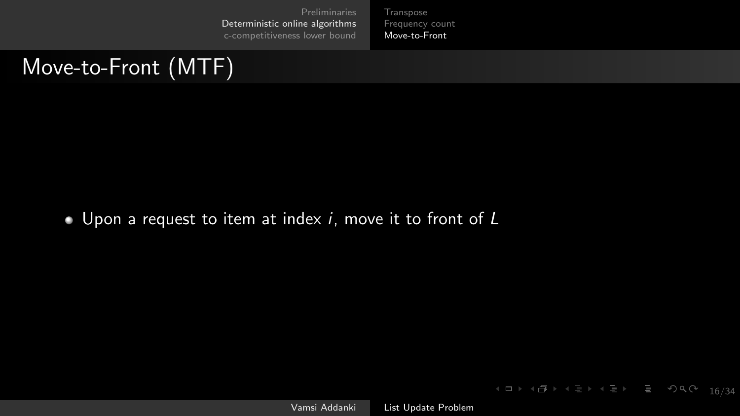[Transpose](#page-13-0) [Frequency count](#page-14-0) [Move-to-Front](#page-15-0)

# <span id="page-15-0"></span>Move-to-Front (MTF)

 $\bullet$  Upon a request to item at index i, move it to front of  $L$ 

**Kロト K倒下 K目と K目と - 目 - りα (V)**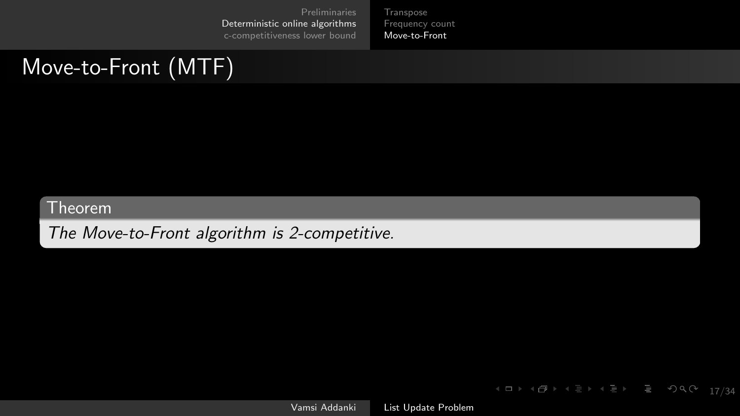[Transpose](#page-13-0) [Frequency count](#page-14-0) [Move-to-Front](#page-15-0)

# Move-to-Front (MTF)

#### **Theorem**

The Move-to-Front algorithm is 2-competitive.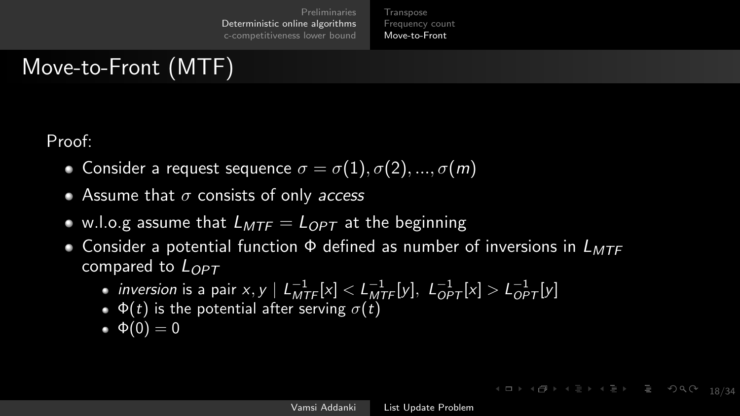[Transpose](#page-13-0) [Frequency count](#page-14-0) [Move-to-Front](#page-15-0)

# Move-to-Front (MTF)

Proof:

- Consider a request sequence  $\sigma = \sigma(1), \sigma(2), ..., \sigma(m)$
- Assume that  $\sigma$  consists of only *access*
- w.l.o.g assume that  $L_{MTF} = L_{OPT}$  at the beginning
- Consider a potential function  $\Phi$  defined as number of inversions in  $L_{MTE}$ compared to  $L_{OPT}$ 
	- inversion is a pair  $x, y \mid L_{MTF}^{-1}[x] < L_{MTF}^{-1}[y], L_{OPT}^{-1}[x] > L_{OPT}^{-1}[y]$
	- $\Phi(t)$  is the potential after serving  $\sigma(t)$
	- $\bullet \ \Phi(0) = 0$

18/34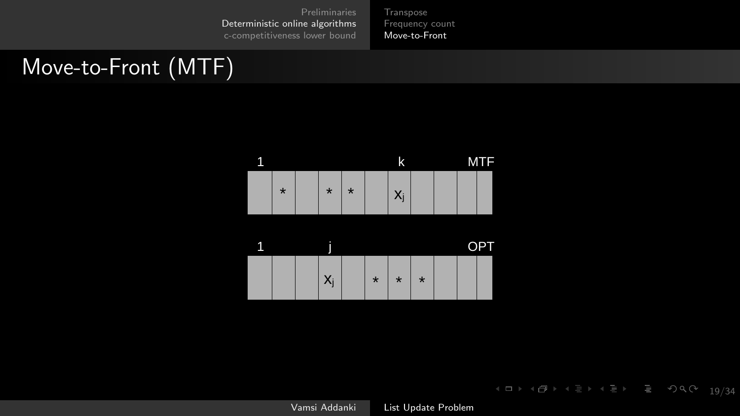[Transpose](#page-13-0) [Frequency count](#page-14-0) [Move-to-Front](#page-15-0)

# Move-to-Front (MTF)

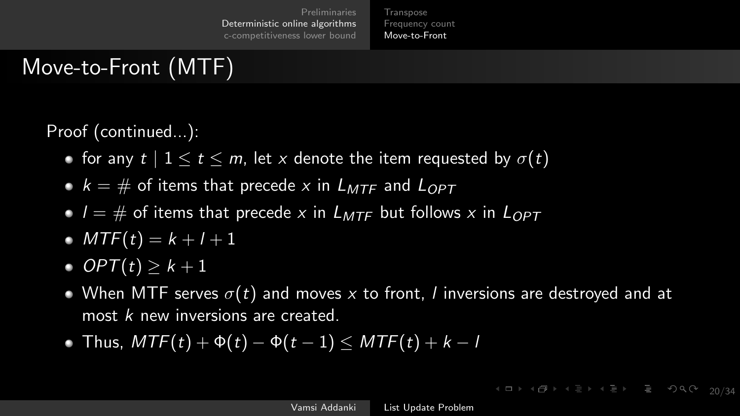# Move-to-Front (MTF)

Proof (continued...):

- for any  $t \mid 1 \leq t \leq m$ , let x denote the item requested by  $\sigma(t)$
- $k = #$  of items that precede x in  $L_{MTF}$  and  $L_{OPT}$
- $\bullet$   $l = #$  of items that precede x in  $L_{MTF}$  but follows x in  $L_{OPT}$
- $MTF(t) = k + l + 1$
- OPT $(t) > k + 1$
- When MTF serves  $\sigma(t)$  and moves x to front, l inversions are destroyed and at most k new inversions are created.
- Thus,  $MTF(t) + \Phi(t) \Phi(t-1) \leq MTF(t) + k l$

4 ロ → 4 @ → 4 로 → 4 로 → 로 → 9 Q Q → 20 /34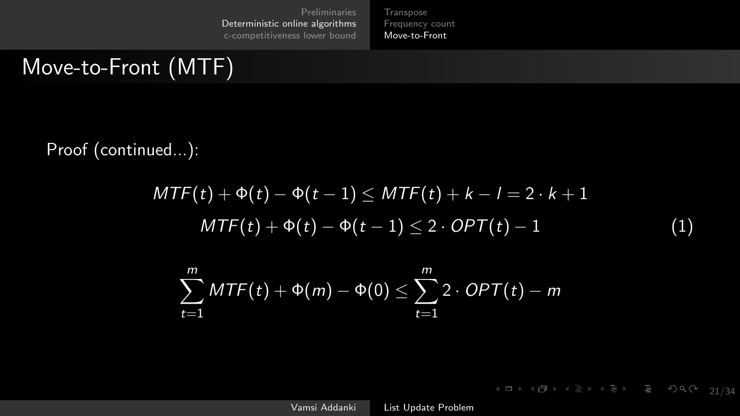[Transpose](#page-13-0) [Frequency count](#page-14-0) [Move-to-Front](#page-15-0)

# Move-to-Front (MTF)

Proof (continued...):

$$
MTF(t) + \Phi(t) - \Phi(t-1) \leq MTF(t) + k - l = 2 \cdot k + 1
$$
  
 
$$
MTF(t) + \Phi(t) - \Phi(t-1) \leq 2 \cdot OPT(t) - 1
$$
 (1)

$$
\sum_{t=1}^{m} MTF(t) + \Phi(m) - \Phi(0) \leq \sum_{t=1}^{m} 2 \cdot OPT(t) - m
$$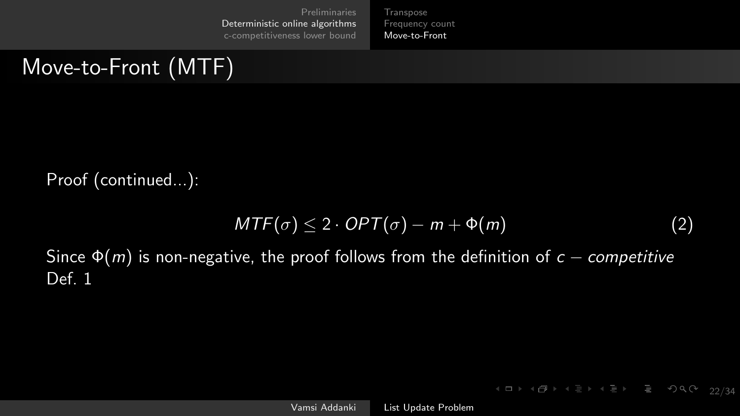[Transpose](#page-13-0) [Frequency count](#page-14-0) [Move-to-Front](#page-15-0)

# Move-to-Front (MTF)

Proof (continued...):

$$
MTF(\sigma) \le 2 \cdot OPT(\sigma) - m + \Phi(m) \tag{2}
$$

Since  $\Phi(m)$  is non-negative, the proof follows from the definition of  $c$  – competitive Def. [1](#page-11-1)

22/34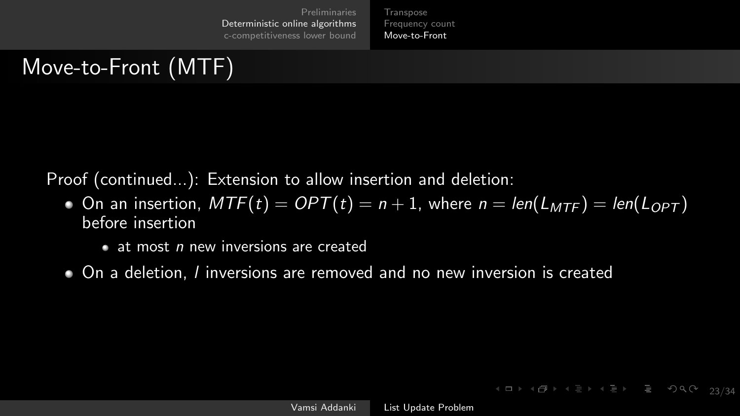[Transpose](#page-13-0) [Frequency count](#page-14-0) [Move-to-Front](#page-15-0)

# Move-to-Front (MTF)

Proof (continued...): Extension to allow insertion and deletion:

- On an insertion,  $MTF(t) = OPT(t) = n + 1$ , where  $n = len(L_{MTF}) = len(L_{OPT})$ before insertion
	- $\bullet$  at most n new inversions are created
- On a deletion, l inversions are removed and no new inversion is created

4 ロ → 4 @ → 4 ミ → 4 ミ → - ミ → 9 Q (2 → 23/34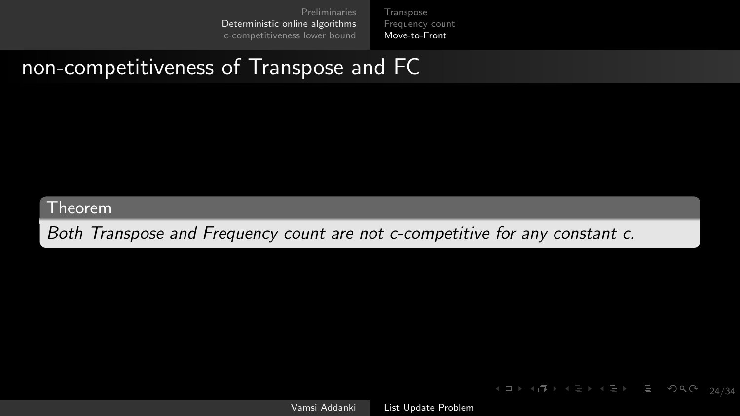[Transpose](#page-13-0) [Frequency count](#page-14-0) [Move-to-Front](#page-15-0)

#### non-competitiveness of Transpose and FC

#### **Theorem**

Both Transpose and Frequency count are not c-competitive for any constant c.

4 □ ▶ 4 리 ▶ 4 리 ▶ 4 리 ▶ 그룹 ▶ 그룹 → 수) Q Q → 24/34

Vamsi Addanki [List Update Problem](#page-0-0)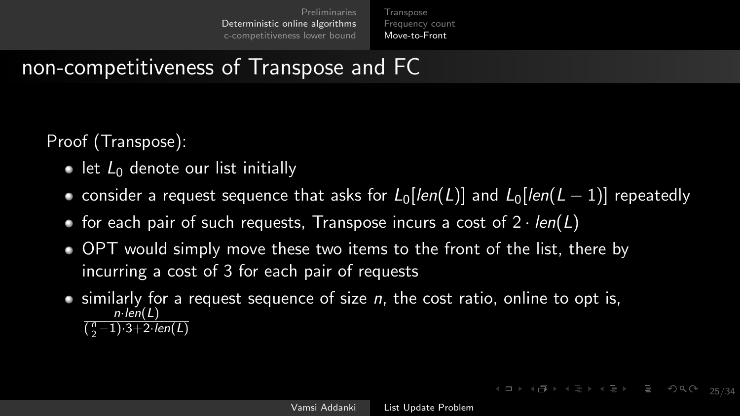[Transpose](#page-13-0) [Frequency count](#page-14-0) [Move-to-Front](#page-15-0)

## non-competitiveness of Transpose and FC

Proof (Transpose):

- $\bullet$  let  $L_0$  denote our list initially
- consider a request sequence that asks for  $L_0[len(L)]$  and  $L_0[len(L-1)]$  repeatedly
- for each pair of such requests, Transpose incurs a cost of  $2 \cdot len(L)$
- OPT would simply move these two items to the front of the list, there by incurring a cost of 3 for each pair of requests
- $\bullet$  similarly for a request sequence of size n, the cost ratio, online to opt is,  $n$ ·len(L)  $(\frac{n}{2}-1)\cdot 3+2\cdot len(L)$

4 ロ → 4 @ ▶ 4 로 ▶ 4 로 ▶ \_ 로 → 9 Q Q → 95/34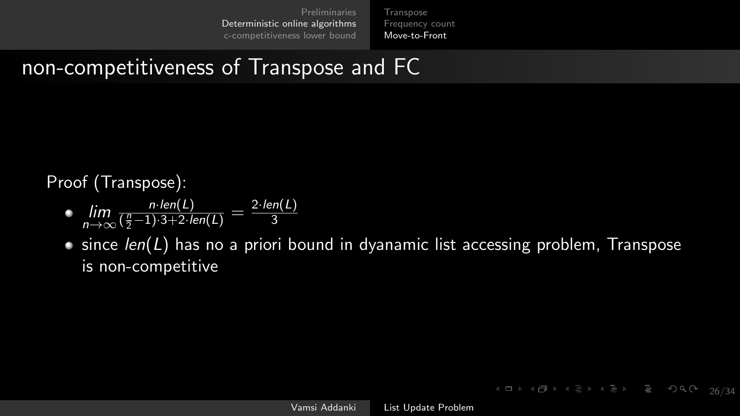[Transpose](#page-13-0) [Frequency count](#page-14-0) [Move-to-Front](#page-15-0)

#### non-competitiveness of Transpose and FC

Proof (Transpose):

- lim n→∞ n·len(L)  $\frac{n \cdot len(L)}{(\frac{n}{2}-1)\cdot 3+2\cdot len(L)} = \frac{2 \cdot len(L)}{3}$ 3
- $\bullet$  since len(L) has no a priori bound in dyanamic list accessing problem, Transpose is non-competitive

4 □ ▶ 4 리 ▶ 4 리 ▶ 4 리 ▶ 그룹 ▶ 그룹 → 20 Q 26/34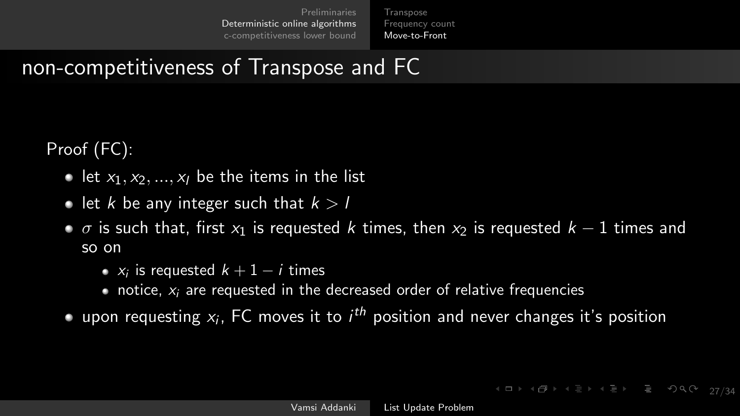[Transpose](#page-13-0) [Frequency count](#page-14-0) [Move-to-Front](#page-15-0)

#### non-competitiveness of Transpose and FC

Proof (FC):

- let  $x_1, x_2, ..., x_l$  be the items in the list
- let k be any integer such that  $k > l$
- $\sigma$  is such that, first  $x_1$  is requested k times, then  $x_2$  is requested  $k 1$  times and so on
	- $x_i$  is requested  $k+1-i$  times
	- notice,  $x_i$  are requested in the decreased order of relative frequencies
- upon requesting  $x_i$ , FC moves it to  $i^{th}$  position and never changes it's position

4 ロ → 4 @ ▶ 4 로 ▶ 4 로 ▶ \_ 로 → 9 Q Q → 97/34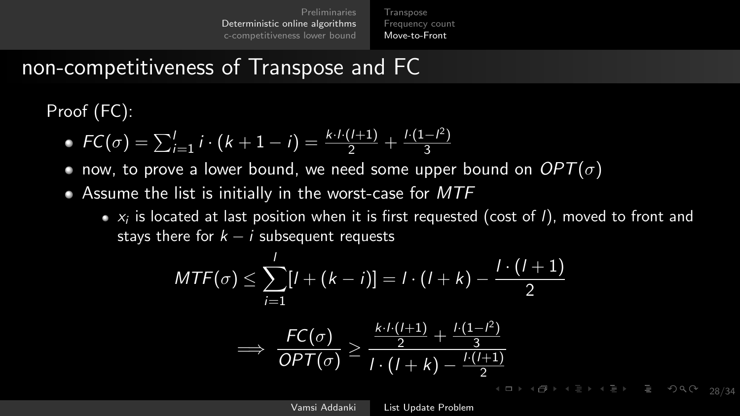**[Transpose](#page-13-0)** [Frequency count](#page-14-0) [Move-to-Front](#page-15-0)

## non-competitiveness of Transpose and FC

Proof (FC):

- $FC(\sigma) = \sum_{i=1}^{l} i \cdot (k+1-i) = \frac{k \cdot l \cdot (l+1)}{2} + \frac{l \cdot (1-l^2)}{3}$ 3
- now, to prove a lower bound, we need some upper bound on  $OPT(\sigma)$
- Assume the list is initially in the worst-case for  $MTF$ 
	- $x_i$  is located at last position when it is first requested (cost of 1), moved to front and stays there for  $k - i$  subsequent requests

$$
MTF(\sigma) \le \sum_{i=1}^{l} [l + (k - i)] = l \cdot (l + k) - \frac{l \cdot (l + 1)}{2}
$$

$$
\implies \frac{FC(\sigma)}{OPT(\sigma)} \ge \frac{\frac{k \cdot l \cdot (l + 1)}{2} + \frac{l \cdot (1 - l^2)}{3}}{l \cdot (l + k) - \frac{l \cdot (l + 1)}{2}}
$$

Vamsi Addanki [List Update Problem](#page-0-0)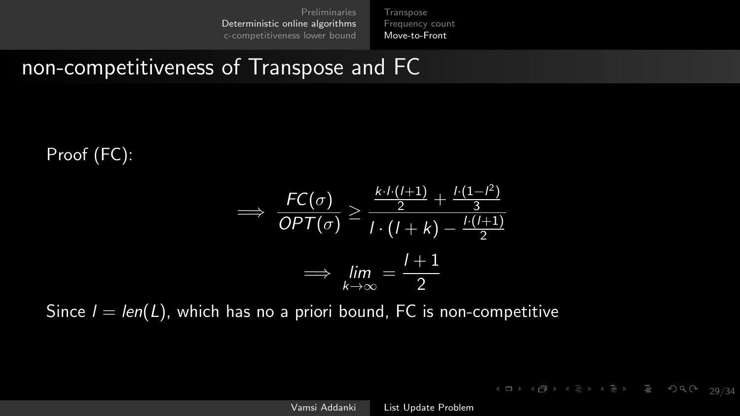[Transpose](#page-13-0) [Frequency count](#page-14-0) [Move-to-Front](#page-15-0)

#### non-competitiveness of Transpose and FC

Proof (FC):

$$
\Rightarrow \frac{FC(\sigma)}{OPT(\sigma)} \ge \frac{\frac{k \cdot l \cdot (l+1)}{2} + \frac{l \cdot (1-l^2)}{3}}{l \cdot (l+k) - \frac{l \cdot (l+1)}{2}}
$$

$$
\Rightarrow \lim_{k \to \infty} \frac{l+1}{2}
$$

Since  $l = len(L)$ , which has no a priori bound, FC is non-competitive

29/34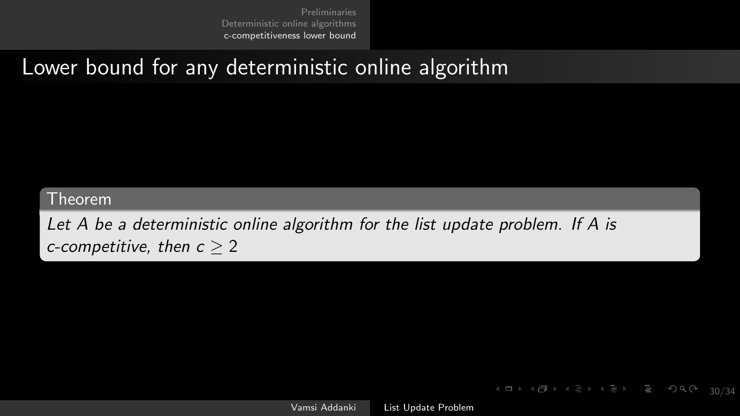## <span id="page-29-0"></span>Lower bound for any deterministic online algorithm

#### Theorem

Let A be a deterministic online algorithm for the list update problem. If A is c-competitive, then  $c > 2$ 

Vamsi Addanki [List Update Problem](#page-0-0)

30/34

**◆ロト→伊ト→ミト→ミト ミーク900**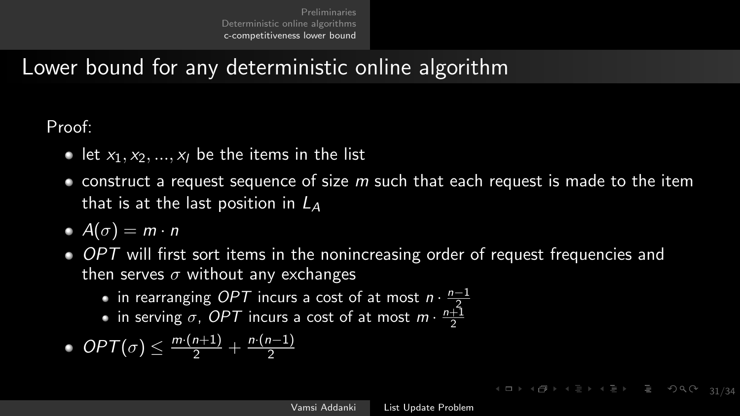# Lower bound for any deterministic online algorithm

Proof:

- let  $x_1, x_2, ..., x_l$  be the items in the list
- construct a request sequence of size  $m$  such that each request is made to the item that is at the last position in  $L_A$
- $A(\sigma) = m \cdot n$
- OPT will first sort items in the nonincreasing order of request frequencies and then serves  $\sigma$  without any exchanges
	- in rearranging OPT incurs a cost of at most  $n \cdot \frac{n-1}{2}$
	- in serving  $\sigma$ , OPT incurs a cost of at most  $m \cdot \frac{n+1}{2}$
- $OPT(\sigma) \leq \frac{m \cdot (n+1)}{2} + \frac{n \cdot (n-1)}{2}$ 2

31/34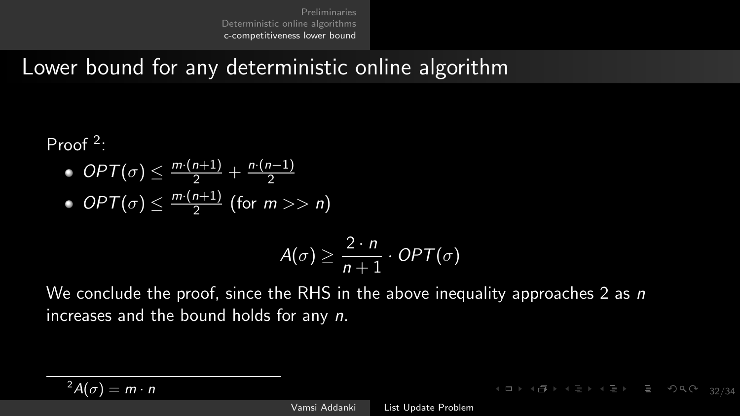#### Lower bound for any deterministic online algorithm

Proof<sup>2</sup>:

- $OPT(\sigma) \leq \frac{m \cdot (n+1)}{2} + \frac{n \cdot (n-1)}{2}$ 2
- $OPT(\sigma) \leq \frac{m \cdot (n+1)}{2}$  $\frac{n+1}{2}$  (for  $m >> n$ )

$$
A(\sigma) \geq \frac{2 \cdot n}{n+1} \cdot OPT(\sigma)
$$

We conclude the proof, since the RHS in the above inequality approaches 2 as  $n$ increases and the bound holds for any n.

$$
{}^2A(\sigma)=m\cdot n
$$

32/34

 $\mathcal{A} \Box \vdash \mathcal{A} \boxplus \mathcal{B} \rightarrow \mathcal{A} \boxplus \mathcal{B} \rightarrow \mathcal{A} \boxplus \mathcal{B} \rightarrow \mathcal{B} \rightarrow \mathcal{B} \rightarrow \mathcal{B} \rightarrow \mathcal{B} \rightarrow \mathcal{B} \rightarrow \mathcal{B} \rightarrow \mathcal{B} \rightarrow \mathcal{B} \rightarrow \mathcal{B} \rightarrow \mathcal{B} \rightarrow \mathcal{B} \rightarrow \mathcal{B} \rightarrow \mathcal{B} \rightarrow \mathcal{B} \rightarrow \mathcal{B} \rightarrow \mathcal{B} \rightarrow \mathcal{B} \rightarrow \mathcal{B} \rightarrow \mathcal{B} \rightarrow \mathcal{B}$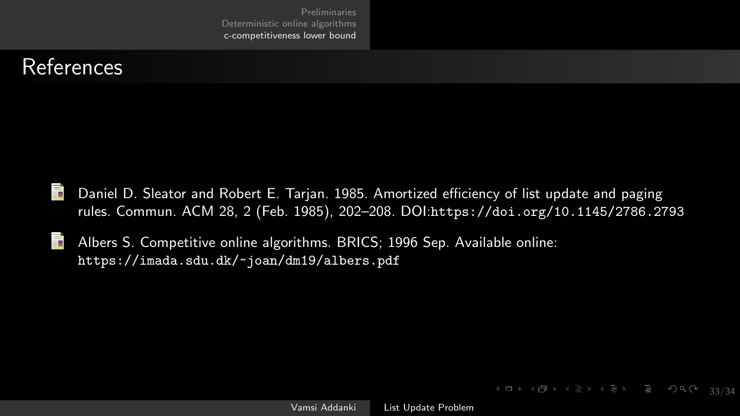#### References

- 螶 Daniel D. Sleator and Robert E. Tarjan. 1985. Amortized efficiency of list update and paging rules. Commun. ACM 28, 2 (Feb. 1985), 202–208. DOI:<https://doi.org/10.1145/2786.2793>
- 螶 Albers S. Competitive online algorithms. BRICS; 1996 Sep. Available online: <https://imada.sdu.dk/~joan/dm19/albers.pdf>

33/34

 $4\Box P + 4\overline{P} P + 4\overline{P} P + 4\overline{P} P$